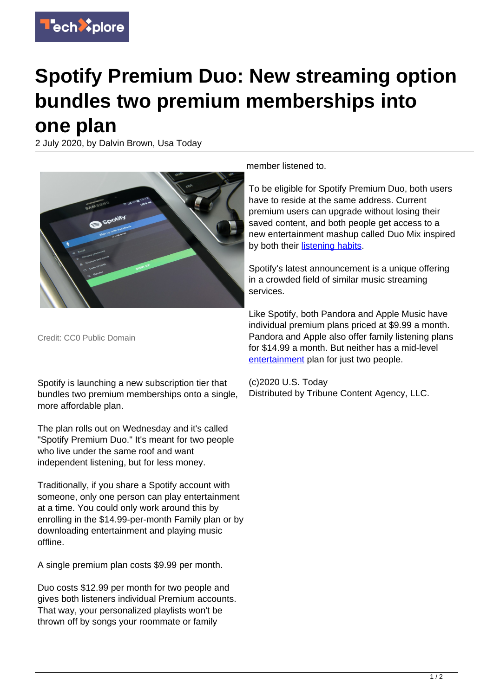

## **Spotify Premium Duo: New streaming option bundles two premium memberships into one plan**

2 July 2020, by Dalvin Brown, Usa Today



Credit: CC0 Public Domain

Spotify is launching a new subscription tier that bundles two premium memberships onto a single, more affordable plan.

The plan rolls out on Wednesday and it's called "Spotify Premium Duo." It's meant for two people who live under the same roof and want independent listening, but for less money.

Traditionally, if you share a Spotify account with someone, only one person can play entertainment at a time. You could only work around this by enrolling in the \$14.99-per-month Family plan or by downloading entertainment and playing music offline.

A single premium plan costs \$9.99 per month.

Duo costs \$12.99 per month for two people and gives both listeners individual Premium accounts. That way, your personalized playlists won't be thrown off by songs your roommate or family

member listened to.

To be eligible for Spotify Premium Duo, both users have to reside at the same address. Current premium users can upgrade without losing their saved content, and both people get access to a new entertainment mashup called Duo Mix inspired by both their [listening habits.](https://techxplore.com/tags/listening+habits/)

Spotify's latest announcement is a unique offering in a crowded field of similar music streaming services.

Like Spotify, both Pandora and Apple Music have individual premium plans priced at \$9.99 a month. Pandora and Apple also offer family listening plans for \$14.99 a month. But neither has a mid-level [entertainment](https://techxplore.com/tags/entertainment/) plan for just two people.

(c)2020 U.S. Today Distributed by Tribune Content Agency, LLC.